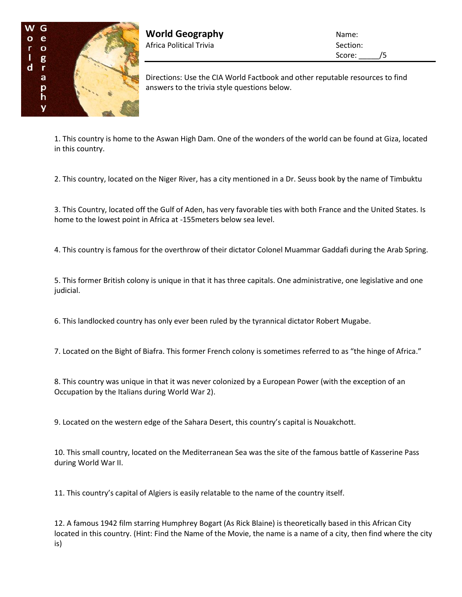

**World Geography** Name: Africa Political Trivia and Section:

Score: /5

Directions: Use the CIA World Factbook and other reputable resources to find answers to the trivia style questions below.

1. This country is home to the Aswan High Dam. One of the wonders of the world can be found at Giza, located in this country.

2. This country, located on the Niger River, has a city mentioned in a Dr. Seuss book by the name of Timbuktu

3. This Country, located off the Gulf of Aden, has very favorable ties with both France and the United States. Is home to the lowest point in Africa at -155meters below sea level.

4. This country is famous for the overthrow of their dictator Colonel Muammar Gaddafi during the Arab Spring.

5. This former British colony is unique in that it has three capitals. One administrative, one legislative and one judicial.

6. This landlocked country has only ever been ruled by the tyrannical dictator Robert Mugabe.

7. Located on the Bight of Biafra. This former French colony is sometimes referred to as "the hinge of Africa."

8. This country was unique in that it was never colonized by a European Power (with the exception of an Occupation by the Italians during World War 2).

9. Located on the western edge of the Sahara Desert, this country's capital is Nouakchott.

10. This small country, located on the Mediterranean Sea was the site of the famous battle of Kasserine Pass during World War II.

11. This country's capital of Algiers is easily relatable to the name of the country itself.

12. A famous 1942 film starring Humphrey Bogart (As Rick Blaine) is theoretically based in this African City located in this country. (Hint: Find the Name of the Movie, the name is a name of a city, then find where the city is)